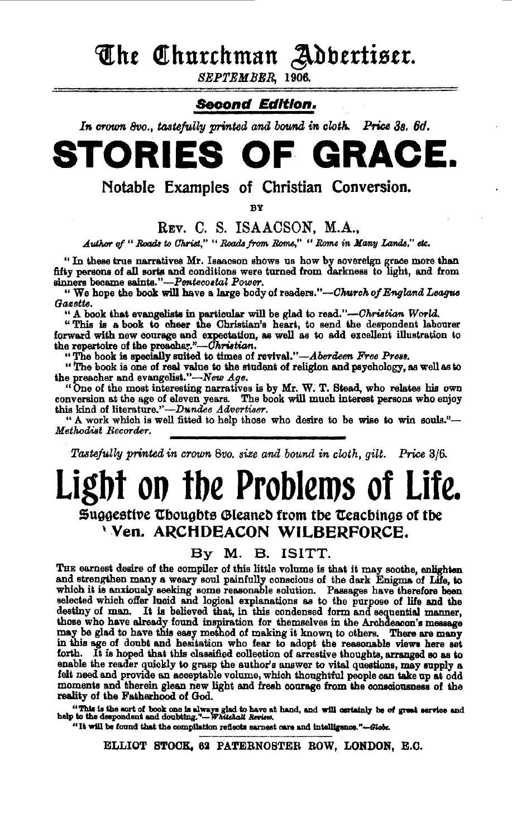The Churchman Adbertiser.

SEPTEMBER, 1906.

### **Second Edition.**

In crown 8vo., tastefully printed and bound in cloth. Price 3s. 6d.

# STORIES OF GRACE.

Notable Examples of Christian Conversion.

RУ

### REV. C. S. ISAACSON. M.A..

Author of "Roads to Christ." "Roads from Rome," "Rome in Many Lands," etc.

"In these true narratives Mr. Isaacson shows us how by sovereign grace more than fifty persons of all sorts and conditions were turned from darkness to light, and from sinners became saints."-Pentecostal Power.

" We hope the book will have a large body of readers."—Church of England League Gosette.

"A book that evangelists in particular will be glad to read."—Christian World.<br>"This is a book to cheer the Christian's heart, to send the despondent labourer forward with new courage and expectation, as well as to add excellent illustration to the repertoire of the preacher."-Christian.<br>"The book is specially suited to times of revival."-Aberdeen Free Press.

"The book is one of real value to the student of religion and psychology, as well as to the preacher and evangelist."-New Age.

"One of the most interesting narratives is by Mr. W. T. Stead, who relates his own conversion at the age of eleven years. The book will much interest persons who enjoy this kind of literature."-Dundee Advertiser.

" A work which is well fitted to help those who desire to be wise to win souls."-Methodist Recorder.

Tastefully printed in crown 8vo. size and bound in cloth, gilt. Price 3/6.

# Light on the Problems of Life.

## Suggestive Thoughts Gleaned from the Teachings of the Ven. ARCHDEACON WILBERFORCE.

By M. B. ISITT.

THE earnest desire of the compiler of this little volume is that it may soothe, enlighten and strengthen many a weary soul painfully conscious of the dark Enigma of Life, to which it is anxiously seeking some reasonable so selected which offer lucid and logical explanations as to the purpose of life and the destiny of man. It is believed that, in this condensed form and sequential manner, those who have already found inspiration for themselves in the Archdescon's message may be glad to have this easy method of making it known to others. There are many in this age of doubt and hesitation who fear to adopt the reasonable views here set forth. It is hoped that this classified collection of arrestive thoughts, arranged so as to enable the reader quickly to grasp the author's answer to vital questions, may supply a felt need and provide an acceptable volume, which thoughtful people can take up at odd moments and therein glean new light and fresh courage from the consciousness of the reality of the Fatherhood of God.

"This is the sort of book one is always glad to have at hand, and will certainly be of great service and help to the despondent and doubting."--- Whitehall Review.

"It will be found that the compilation reflects earnest care and intelligence."-Globe.

ELLIOT STOCK, 62 PATERNOSTER ROW, LONDON, E.C.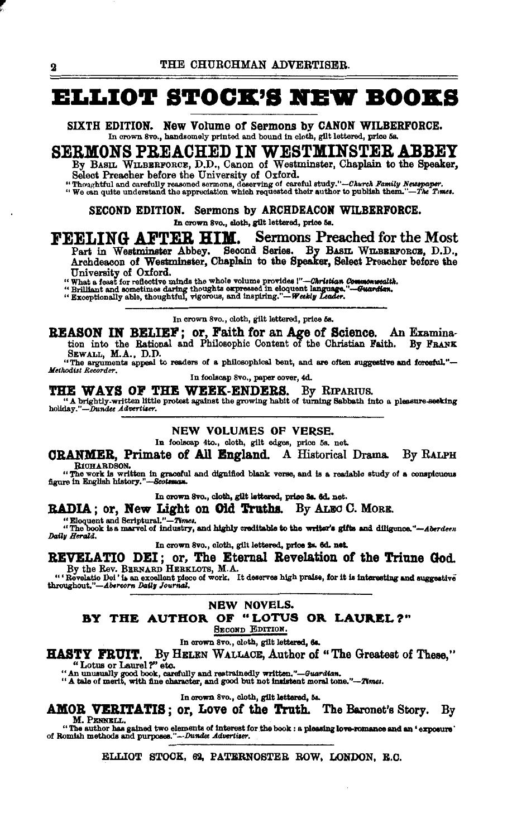## **ELLIOT STOCK'S NEW BOOKS**

SIXTH EDITION. New Volume of Sermons by CANON WILBERFORCE. In crown 8vo., handsomely printed and bound in cloth, gilt lettered, price 5s.

SERMONS PREACHED IN WESTMINSTER ABBEY By BASIL WILBERFORCE, D.D., Canon of Westminster, Chaplain to the Speaker,

Select Preacher before the University of Oxford.

"Thoughtful and carefully reasoned sermons, deserving of careful study."-Church Family Newspaper.<br>"We can quite understand the appreciation which requested their author to publish them."-The Times.

SECOND EDITION. Sermons by ARCHDEACON WILBERFORCE. In crown 8vo., cloth, gilt lettered, price 5s.

FEELING AFTER HIM. Sermons Preached for the Most Part in Westminster Abbey. Second Series. By BASIL WILBERFORCE, D.D., Archdeacon of Westminster, Chaplain to the Speaker, Select Preacher before the

University of Oxford.

University of Calculus and the whole volume provides !"-Christian Commonwealther a feast for reflective minds the whole volume provides !"-Christian Commonwealther "Exceptionally able, thoughtful, vigorous, and inspiring." maenlth.

In crown 8vo., cloth, gilt lettered, price 5s.

REASON IN BELIEF; or, Faith for an Age of Science. An Examination into the Rational and Philosophic Content of the Christian Faith. By FRANK

SEWALL, M.A., D.D.

"The arguments appeal to readers of a philosophical bent, and are often suggestive and forceful."-<br>Methodist Recorder.

In foolscap 8vo., paper cover, 4d.

THE WAYS OF THE WEEK-ENDERS. By RIPARIUS. "A brightly-written little protest against the growing habit of turning Sabbath into a pleasure-seeking holiday."-Dundee Advertiser.

NEW VOLUMES OF VERSE.

In foolscap 4to., cloth, gilt edges, price 5s. net.

CRANMER, Primate of All England. A Historical Drama. By RALPH RICHARDSON.

In crown 8vo., cloth, gilt lettered, price Sa. 6d. net.

RADIA; or, New Light on Old Truths. By ALEC C. MORE.

 $\frac{1}{2}$  in the contract  $\frac{1}{2}$  is the contract of the contract of the set of the contract  $\frac{1}{2}$  in the contract of industry, and highly creditable to the writer's gifts and diligence."—Aberdeen Daily Herald.

In crown 8vo., cloth, gilt lettered, price 2s. 6d. net.

REVELATIO DEI; or, The Eternal Revelation of the Triune God.<br>By the Rev. BERNARD HERKLOTS, M.A.<br>"Revelatio Dei' is an excellent plece of work. It deserves high praise, for it is interesting and suggestive throughout."-Aber

NEW NOVELS.

### BY THE AUTHOR OF "LOTUS OR LAUREL?"

SECOND EDITION.

In crown 8vo., cloth, gilt lettered, 6s.

HASTY FRUIT. By HELEN WALLACE, Author of "The Greatest of These."

"Lotus or Laurel?" etc.<br>"An unusually good book, carefully and restrainedly written."—Guardian.<br>"A tale of merit, with fine character, and good but not insistent moral tone."—Times.

#### In crown 8vo., cloth, gilt lettered, 5s.

AMOR VERITATIS; or, Love of the Truth. The Baronet's Story. By M. PENNELL.

"The author has gained two elements of interest for the book : a pleasing love-romance and an 'exposure'<br>of Romish methods and purposes."-Dundee Advertiser.

#### ELLIOT STOCK, 62, PATERNOSTER ROW, LONDON, E.C.

 $\mathbf 2$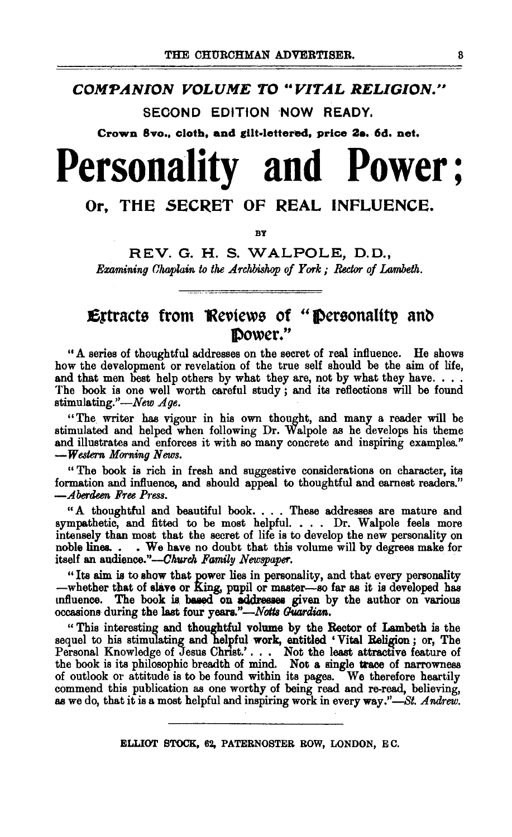### **COMPANION VOLUME TO "VITAL RELIGION."**

SECOND EDITION NOW READY.

Crown 8vo., cloth, and gllt·lettered, price Ze. 6d. net.

# Personality and **Power;**

## Or, THE SECRET OF REAL INFLUENCE.

BY

REV. G. H. S. WALPOLE, D. D., *Examining Chaplain to the Archbishop of York; Rector of Lambeth.* 

## **Extracts from Reviews of "Personality and** power."

"A series of thooghtful addresses on the secret of real influence. He shows how the development or revelation of the true self should be the aim of life, and that men best help others by what they are, not by what they have.... The book is one well worth careful study; and its reflections will be found stimulating."-New Age.

"The writer has vigour in his own thought, and many a reader will be stimulated and helped when following Dr. Walpole as he develops his theme and illustrates and enforces it with so many concrete and inspiring examples." *-Western Morning News.* 

" The book is rich in fresh and suggestive considerations on character, its formation and infiuence, and should appeal to thoughtful and earnest readers." *-Aberdeen Free Pt·ess.* 

"A thoughtful and beautiful book. . . . These addresses are mature and sympathetic, and fitted to be most helpful. • . . Dr. Walpole feels more intensely than most that the secret of life is to develop the new personality on noble lines. . • We have no doubt that this volume will by degrees make for itself an audience."-Church Family Newspaper.

"Its aim is to show that power lies in personality, and that every personality -whether that of slave or King, pupil or master-so far as it is developed has influence. The book is based on addresses given by the author on various occasions during the last four years."-Notts Guardian.

" This interesting and thoughtful volume by the Rector of Lambeth is the sequel to his stimulating and helpful work, entitled 'Vital Religion; or, The Personal Knowledge of Jesus Christ.'. . . Not the least attractive feature of the book is its philosophic breadth of mind. Not a single trace of narrowness of outlook or attitude is to be found within its pages. We therefore heartily commend this publication as one worthy of being read and re-read, believing, as we do, that it is a most helpful and inspiring work in every way."-St. *Arulrew.*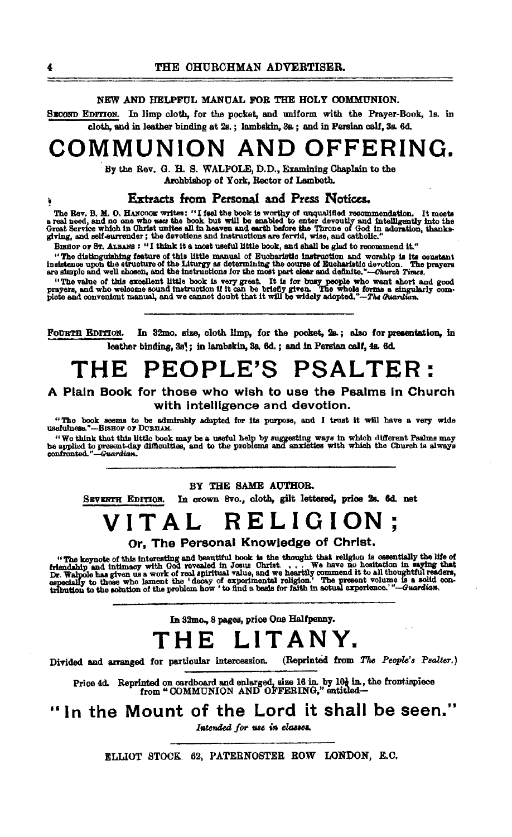#### NEW AND HELPFILL MANUAL FOR THE HOLY COMMUNION.

SECOND EDITION. In limp cloth, for the pocket, and uniform with the Prayer-Book, 1s. in cloth, and in leather binding at 2s.; lambskin, 3s.; and in Persian calf, 3s. 6d.

## COMMUNION AND OFFERING.

By the Rev. G. H. S. WALPOLE, D.D., Examining Chaplain to the Archbishop of York, Rector of Lambeth.

#### Extracts from Personal and Press Notices.

The Rev. B. M. O. HANCOOK writes: "I feel the book is worthy of unqualified recommendation. It meets a real need, and no one who west the book but will be enabled to enter devoutly and intelligently into the Great Service

BIBHOF OF ST. ALBANS: "I think it a most useful little book, and shall be glad to recommend it."

"The distinguishing feature of this little manual of Bucharistic instruction and worship is its constant insistence upon the structure of the Liturgy as determining the course of Eucharistic devotion. The prayers are simpl

"The value of this excellent little book is very great. It is for busy people who want short and good prayers, and who welcome sound instruction if it can be briefly given. The whole forms a singularly complete and conveni

FOURTH EDITION. In 32mo, size, cloth limp, for the pocket, 2a; also for presentation, in leather binding, 3s'; in lambskin, 3s, 6d, ; and in Persian calf, 4s. 6d.

## THE PEOPLE'S PSALTER:

#### A Plain Book for those who wish to use the Psalms in Church with intelligence and devotion.

"The book seems to be admirably adapted for its purpose, and I trust it will have a very wide<br>sefulness."---BisHop or DURHAM. usefulness.'

"We think that this little book may be a useful help by suggesting ways in which different Psalms may be applied to present-day difficulties, and to the problems and anxieties with which the Church is always confronted."-

#### BY THE SAME AUTHOR.

In crown 8vo., cloth, gilt lettered, price 2s. 6d. net SEVENTH EDITION.

#### RELIGIC VITAL

Or, The Personal Knowledge of Christ.

"The keynote of this interesting and beautiful book is the thought that religion is essentially the life of friendship and intimacy with God revealed in Josus Christ.... We have no hesitation in saying that Dr. Wahole has

## In 32mo., 8 pages, price One Halfpenny. THE LITANY.

(Reprinted from The People's Psalter.) Divided and arranged for particular intercession.

Price 4d. Reprinted on cardboard and enlarged, size 16 in. by 10 $\frac{1}{2}$  in, the frontispiece from "COMMUNION AND OFFERING," entitled—

"In the Mount of the Lord it shall be seen."

Intended for use in classes.

ELLIOT STOCK. 62, PATERNOSTER ROW LONDON, E.C.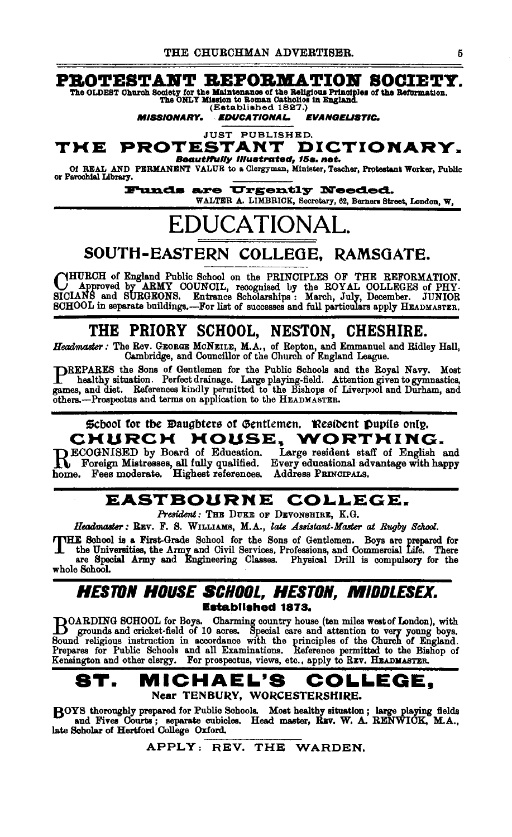### PROTESTANT REFORMATION SOCIETY.

The OLDEST Church Society for the Maintenance of the Religious Principles of the Reformation.<br>The ONLY Mission to Roman Catholics in England. (Established 1827.)

**EDUCATIONAL EVANGELISTIC. MISSIONARY.** 

**JUST PUBLISHED.** PROTESTANT DICTIONARY. TME

**Beautifully Illustrated, 15s. net.** Of REAL AND PERMANENT VALUE to a Clergyman, Minister, Teacher, Protestant Worker, Public<br>or Parcohial Library.

> **Funds are Urgently Needed.** WALTER A. LIMBRICK, Secretary, 62, Berners Street, London, W.

## **EDUCATIONAL**

## SOUTH-EASTERN COLLEGE. RAMSGATE.

YHURCH of England Public School on the PRINCIPLES OF THE REFORMATION. Approved by ARMY COUNCIL, recognised by the EOYAL COLLEGES of PHY-SICIANS and SURGEONS. Entrance Scholarships : March, July, December. JUNIOR SCHOOL in separate buildings.--For list of successes and full particulars apply HEADMASTER.

## THE PRIORY SCHOOL, NESTON, CHESHIRE.

Headmaster: The Rev. GEORGE MCNEILE, M.A., of Repton, and Emmanuel and Ridley Hall, Cambridge, and Councillor of the Church of England League.

PREPARES the Sons of Gentlemen for the Public Schools and the Royal Navy. Most healthy situation. Perfect drainage. Large playing-field. Attention given to gymnastics, games, and diet. References kindly permitted to the Bi others.-Prospectus and terms on application to the HEADMASTER.

#### School for the Daughters of Gentlemen. Resident Pupils only. **HOUSE.** CHURCH WORTHING.

**BECOGNISED** by Board of Education. Recognition of Lines of Lines and Severe electronal advantage with happy<br>home. Fees moderate. Highest references. Address PRINCIPALS.

Large resident staff of English and

### EASTBOURNE COLLEGE.

President: THE DUKE OF DEVONSHIRE, K.G.

Headmaster: REV. F. S. WILLIAMS, M.A., late Assistant-Master at Rugby School.

THE School is a First-Grade School for the Sons of Gentlemen. Boys are prepared for the Universities, the Army and Civil Services, Professions, and Commercial Life. There are Special Army and Engineering Classes. Physical Drill is compulsory for the whole School.

### HESTON HOUSE SCHOOL. HESTON. MIDDLESEX. **Established 1873.**

DOARDING SCHOOL for Boys. Charming country house (ten miles west of London), with grounds and cricket-field of 10 acres. Special care and attention to very young boys. Sound religious instruction in accordance with the pri

#### MICHAEL'S 8T. COLLEGE. Near TENBURY, WORCESTERSHIRE.

BOYS thoroughly prepared for Public Schools. Most healthy situation; large playing fields and Fives Courts; separate cubicles. Head master, REV. W. A. RENWICK, M.A., late Scholar of Hertiford College Oxford.

APPLY: REV. THE WARDEN.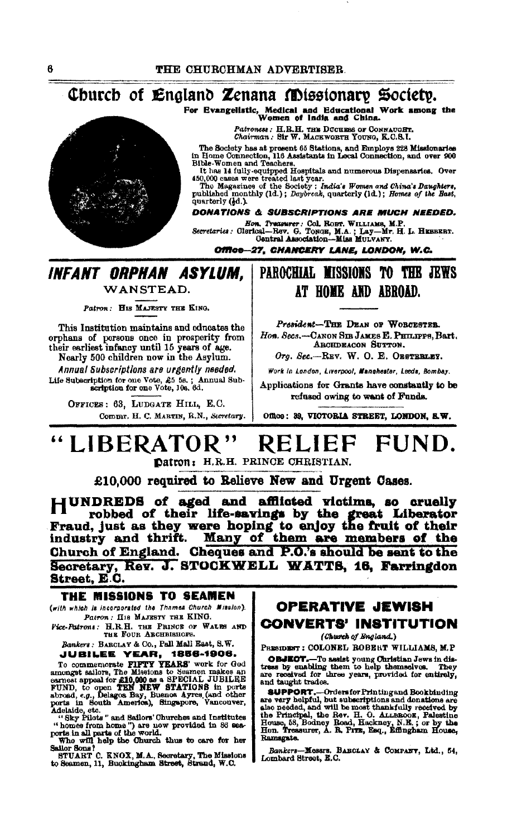### Church of England Zenana Missionary Society.

For Evangelistic, Medical and Educational Work among the Women of India and China.

Patroness: H.R.H. THE DUCHESS OF CONNAUGHT.<br>Chairman: Sir W. MACKWORTH YOUNG, K.C.S.I.

The Bockety has at present 65 Stations, and Employs 228 Missionaries<br>in Home Connection, 116 Assistants in Local Connection, and over 900<br>Bible-Women and Teachers.<br>The and Home Connection, 116 Assistants in Local Connectio

quarterly (4d.).

DONATIONS & SUBSCRIPTIONS ARE MUCH NEEDED.

Hon, Treasurer: Col, ROBT, WILLIAMS, M.P.<br>Secretaries: Olerical-Rev. G. TONGE, M.A.; Lay-Mr. H. L. HEBBERT.<br>Gentral Association-Miss MULVANY.

Office-27, CHANCERY LANE, LONDON, W.C.

## **INFANT ORPHAN ASYLUM.** WANSTEAD.

Patron: HIS MAJESTY THE KING.

This Institution maintains and educates the orphans of persons once in prosperity from<br>their earliest infancy until 15 years of age. Nearly 500 children now in the Asylum.

Annual Subscriptions are urgently needed. Life Subscription for one Vote, £5 5s.; Annual Sub-<br>scription for one Vote, 10s. 6d.

> OFFICES: 63, LUDGATE HILL, E.C. Commr. H. C. MARTIN, R.N., Secretary.

## PAROCHIAL MISSIONS TO THE JEWS AT HOME AND ABROAD.

President-THE DEAN OF WORGESTER. Hon. Secs.-CANON SIR JAMES E. PHILIPPS. Bart. ARCHDEACON SUTTON.

Org. Sec.-REV. W. O. E. OESTERLEY.

Work in London, Liverpool, Manchester, Leeds, Bombay.

Applications for Grants have constantly to be refused owing to want of Funds.

Office: 39, VICTORIA STREET, LONDON, S.W.

#### LIBERATOR" **RELIEF** FUND.

Datron: H.R.H. PRINCE CHRISTIAN.

£10,000 required to Relieve New and Urgent Cases.

HUNDREDS of aged and afflicted victims, so cruelly robbed of their life-savings by the great Liberator Fraud, just as they were hoping to enjoy the fruit of their Many of them are members of the industry and thrift. Church of England. Cheques and P.O.'s should be sent to the Secretary, Rev. J. STOCKWELL WATTS, 16, Farringdon Street, E.C.

#### THE MISSIONS TO SEAMEN

(with which is incorporated the Thamas Church Mission). Patron: HIS MAJESTY THE KING.

Vice-Patrons: H.R.H. THE PRINCE OF WALES AND THE FOUR ARCHBISHOPS.

Bankers: BARCLAY & Co., Pall Mall East, S.W.

Bankers: BABOLAY & CO., Fall mail mast, S.W.<br>
JUBILEE YEARS, TREEF, 1856-1906.<br>
To commemorate FIFTY YEARS' work for God<br>
amongst sallors, The Missions to Sesmon makes an<br>
earnest appeal for £10,000 as a SPECIAL JUBILEE<br>
F

ports in count American, we can also allows delayed to the set of the set of the set of the set of the set of the set of the set of the set of the set of the set of the set of the set of the set of the set of the set of th

Sailor Sons?

STUART C. KNOX, M.A., Secretary, The Missions<br>to Seamen, 11, Buckingham Street, Strand, W.C.

### **OPERATIVE JEWISH CONVERTS' INSTITUTION**

(Church of England.)

PRESIDENT: COLONEL ROBERT WILLIAMS, M.P

**OBJEOT.**-To assist young Onristian Jews in distress by enabling them to help themselves. They are received for three years, provided for entirely, and taught trades.

**SUPPORT.**-Ordersfor Printingsnd Bookbinding<br>are very helpful, but subscriptions and donations are<br>also needed, and will be most thankfully received by<br>the Principal, the Rev. H. O. ALLBEOOK, Palestine<br>House, 53, Bodney Ro Ramsgate.

Bankers-Messrs. BARCLAY & COMPANY, Ltd., 54, Lombard Street, E.C.

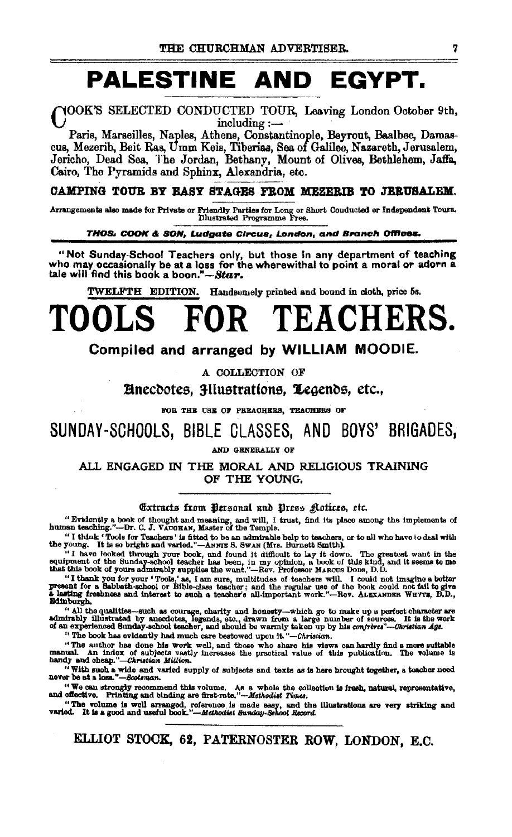## PALESTINE AND EGYPT.

YOOK'S SELECTED CONDUCTED TOUR, Leaving London October 9th, including:-

Paris, Marseilles, Naples, Athens, Constantinople, Beyrout, Baalbec, Damascus, Mezerib, Beit Ras, Umm Keis, Tiberias, Sea of Galilee, Nazareth, Jerusalem, Jericho, Dead Sea, The Jordan, Bethany, Mount of Olives, Bethlehem, Jaffa, Cairo, The Pyramids and Sphinx, Alexandria, etc.

#### CAMPING TOUR BY EASY STAGES FROM MEZERIB TO JERUSALEM.

Arrangements also made for Private or Friendly Parties for Long or Short Conducted or Independent Tours.<br>
Illustrated Programme Free.

THOS. COOK & SON, Ludgate Circus, London, and Branch Offices.

"Not Sunday-School Teachers only, but those in any department of teaching who may occasionally be at a loss for the wherewithal to point a moral or adorn a tale will find this book a boon."-Star.

TWELFTH EDITION. Handsomely printed and bound in cloth, price 5s.

## TEACHERS. R.

#### Compiled and arranged by WILLIAM MOODIE.

A COLLECTION OF

**Anecdotes, 3Ilustrations, Legends, etc.,** 

FOR THE USE OF PREACHERS, TEACHERS OF

## SUNDAY-SCHOOLS, BIBLE CLASSES, AND BOYS' BRIGADES,

AND GENERALLY OF

ALL ENGAGED IN THE MORAL AND RELIGIOUS TRAINING OF THE YOUNG.

#### Extracts from Dersonal and Press Aotices, etc.

"Evidently a book of thought and meaning, and will, I trust, find its place among the implements of human teaching."----Dr. C. J. VAUGHAN, Master of the Temple.

"I think 'Tools for Teachers' is fitted to be an admirable help to teachers, or to all who have to deal with the young. It is so bright and varied."-ANNIE S. Swax (Mrs. Burnett Smith).

the young. It have looked through your book, and found it difficult to hey the own. The greatest want in the<br>equipment of the Sunday-school teacher has been, in my opinion, a book of this kind, and it seems to me<br>that this Edinburgh.

" all the qualities—such as courage, charity and honesty—which go to make up a perfect character are<br>admirably illustrated by anecdotes, legends, etc., drawn from a large number of sources. It is the work<br>of an experience

The author has done his work well, and those who share his views can hardly find a more suitable<br>manual. An index of subjects vastly increases the practical value of this publication. The volume is<br>handy and obeap."—Christ

" With such a wide and varied supply of subjects and texts as is here brought together, a teacher need never be at a loss."-Scotsman.

"We can strongly recommend this volume. As a whole the collection is fresh, natural, representative, and effective. Printing and binding are first-rate."--- $Mshodist$  Times.

ELLIOT STOCK, 62, PATERNOSTER ROW, LONDON, E.C.